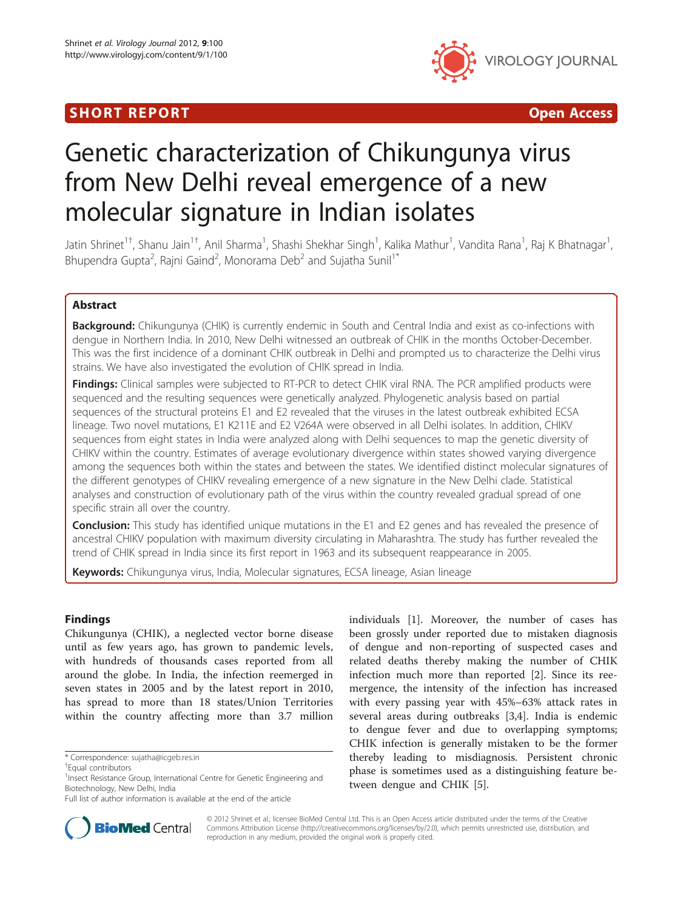## SHORT REPORT **The Contract of the Contract Open Access** (SHORT **Contract of the Contract Open Access**



# Genetic characterization of Chikungunya virus from New Delhi reveal emergence of a new molecular signature in Indian isolates

Jatin Shrinet<sup>1†</sup>, Shanu Jain<sup>1†</sup>, Anil Sharma<sup>1</sup>, Shashi Shekhar Singh<sup>1</sup>, Kalika Mathur<sup>1</sup>, Vandita Rana<sup>1</sup>, Raj K Bhatnagar<sup>1</sup> , Bhupendra Gupta<sup>2</sup>, Rajni Gaind<sup>2</sup>, Monorama Deb<sup>2</sup> and Sujatha Sunil<sup>1\*</sup>

## Abstract

Background: Chikungunya (CHIK) is currently endemic in South and Central India and exist as co-infections with dengue in Northern India. In 2010, New Delhi witnessed an outbreak of CHIK in the months October-December. This was the first incidence of a dominant CHIK outbreak in Delhi and prompted us to characterize the Delhi virus strains. We have also investigated the evolution of CHIK spread in India.

**Findings:** Clinical samples were subjected to RT-PCR to detect CHIK viral RNA. The PCR amplified products were sequenced and the resulting sequences were genetically analyzed. Phylogenetic analysis based on partial sequences of the structural proteins E1 and E2 revealed that the viruses in the latest outbreak exhibited ECSA lineage. Two novel mutations, E1 K211E and E2 V264A were observed in all Delhi isolates. In addition, CHIKV sequences from eight states in India were analyzed along with Delhi sequences to map the genetic diversity of CHIKV within the country. Estimates of average evolutionary divergence within states showed varying divergence among the sequences both within the states and between the states. We identified distinct molecular signatures of the different genotypes of CHIKV revealing emergence of a new signature in the New Delhi clade. Statistical analyses and construction of evolutionary path of the virus within the country revealed gradual spread of one specific strain all over the country.

**Conclusion:** This study has identified unique mutations in the E1 and E2 genes and has revealed the presence of ancestral CHIKV population with maximum diversity circulating in Maharashtra. The study has further revealed the trend of CHIK spread in India since its first report in 1963 and its subsequent reappearance in 2005.

Keywords: Chikungunya virus, India, Molecular signatures, ECSA lineage, Asian lineage

## Findings

Chikungunya (CHIK), a neglected vector borne disease until as few years ago, has grown to pandemic levels, with hundreds of thousands cases reported from all around the globe. In India, the infection reemerged in seven states in 2005 and by the latest report in 2010, has spread to more than 18 states/Union Territories within the country affecting more than 3.7 million





© 2012 Shrinet et al.; licensee BioMed Central Ltd. This is an Open Access article distributed under the terms of the Creative Commons Attribution License [\(http://creativecommons.org/licenses/by/2.0\)](http://creativecommons.org/licenses/by/2.0), which permits unrestricted use, distribution, and reproduction in any medium, provided the original work is properly cited.

<sup>\*</sup> Correspondence: [sujatha@icgeb.res.in](mailto:sujatha@icgeb.res.in) †

Equal contributors

<sup>&</sup>lt;sup>1</sup> Insect Resistance Group, International Centre for Genetic Engineering and Biotechnology, New Delhi, India

Full list of author information is available at the end of the article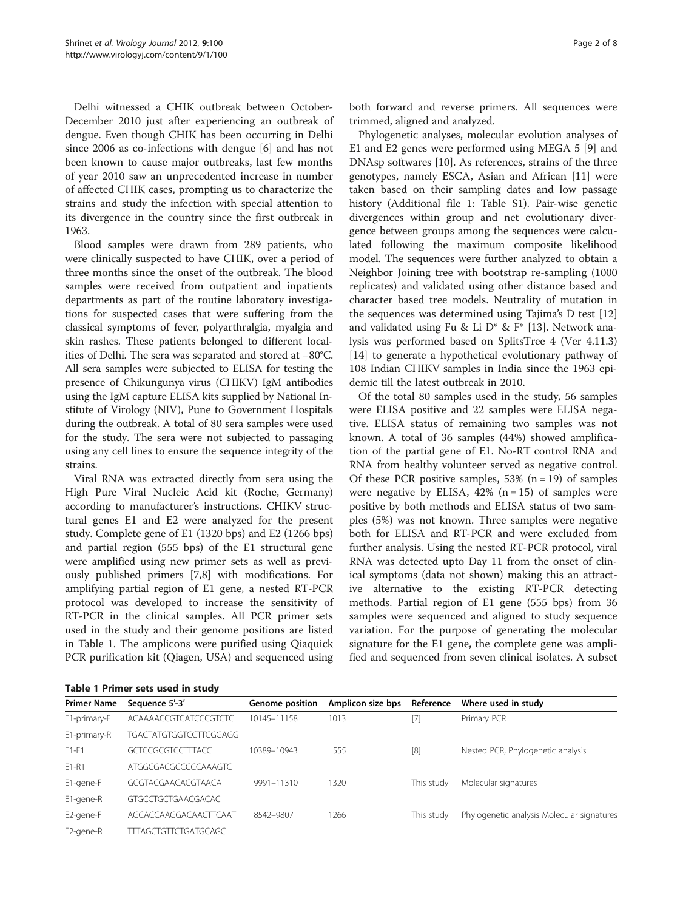Delhi witnessed a CHIK outbreak between October-December 2010 just after experiencing an outbreak of dengue. Even though CHIK has been occurring in Delhi since 2006 as co-infections with dengue [[6\]](#page-7-0) and has not been known to cause major outbreaks, last few months of year 2010 saw an unprecedented increase in number of affected CHIK cases, prompting us to characterize the strains and study the infection with special attention to its divergence in the country since the first outbreak in 1963.

Blood samples were drawn from 289 patients, who were clinically suspected to have CHIK, over a period of three months since the onset of the outbreak. The blood samples were received from outpatient and inpatients departments as part of the routine laboratory investigations for suspected cases that were suffering from the classical symptoms of fever, polyarthralgia, myalgia and skin rashes. These patients belonged to different localities of Delhi. The sera was separated and stored at −80°C. All sera samples were subjected to ELISA for testing the presence of Chikungunya virus (CHIKV) IgM antibodies using the IgM capture ELISA kits supplied by National Institute of Virology (NIV), Pune to Government Hospitals during the outbreak. A total of 80 sera samples were used for the study. The sera were not subjected to passaging using any cell lines to ensure the sequence integrity of the strains.

Viral RNA was extracted directly from sera using the High Pure Viral Nucleic Acid kit (Roche, Germany) according to manufacturer's instructions. CHIKV structural genes E1 and E2 were analyzed for the present study. Complete gene of E1 (1320 bps) and E2 (1266 bps) and partial region (555 bps) of the E1 structural gene were amplified using new primer sets as well as previously published primers [\[7,8](#page-7-0)] with modifications. For amplifying partial region of E1 gene, a nested RT-PCR protocol was developed to increase the sensitivity of RT-PCR in the clinical samples. All PCR primer sets used in the study and their genome positions are listed in Table 1. The amplicons were purified using Qiaquick PCR purification kit (Qiagen, USA) and sequenced using

Phylogenetic analyses, molecular evolution analyses of E1 and E2 genes were performed using MEGA 5 [\[9](#page-7-0)] and DNAsp softwares [[10](#page-7-0)]. As references, strains of the three genotypes, namely ESCA, Asian and African [[11\]](#page-7-0) were taken based on their sampling dates and low passage history [\(Additional file 1: Table S1\)](#page-6-0). Pair-wise genetic divergences within group and net evolutionary divergence between groups among the sequences were calculated following the maximum composite likelihood model. The sequences were further analyzed to obtain a Neighbor Joining tree with bootstrap re-sampling (1000 replicates) and validated using other distance based and character based tree models. Neutrality of mutation in the sequences was determined using Tajima's D test [[12](#page-7-0)] and validated using Fu & Li D\* & F\* [\[13](#page-7-0)]. Network analysis was performed based on SplitsTree 4 (Ver 4.11.3) [[14\]](#page-7-0) to generate a hypothetical evolutionary pathway of 108 Indian CHIKV samples in India since the 1963 epidemic till the latest outbreak in 2010.

Of the total 80 samples used in the study, 56 samples were ELISA positive and 22 samples were ELISA negative. ELISA status of remaining two samples was not known. A total of 36 samples (44%) showed amplification of the partial gene of E1. No-RT control RNA and RNA from healthy volunteer served as negative control. Of these PCR positive samples,  $53\%$  (n = 19) of samples were negative by ELISA,  $42\%$  (n = 15) of samples were positive by both methods and ELISA status of two samples (5%) was not known. Three samples were negative both for ELISA and RT-PCR and were excluded from further analysis. Using the nested RT-PCR protocol, viral RNA was detected upto Day 11 from the onset of clinical symptoms (data not shown) making this an attractive alternative to the existing RT-PCR detecting methods. Partial region of E1 gene (555 bps) from 36 samples were sequenced and aligned to study sequence variation. For the purpose of generating the molecular signature for the E1 gene, the complete gene was amplified and sequenced from seven clinical isolates. A subset

|  |  | Table 1 Primer sets used in study |  |  |  |  |
|--|--|-----------------------------------|--|--|--|--|
|--|--|-----------------------------------|--|--|--|--|

| <b>Primer Name</b> | Sequence 5'-3'                | <b>Genome position</b> | Amplicon size bps | Reference  | Where used in study                        |
|--------------------|-------------------------------|------------------------|-------------------|------------|--------------------------------------------|
| E1-primary-F       | <b>ACAAAACCGTCATCCCGTCTC</b>  | 10145-11158            | 1013              | [7]        | Primary PCR                                |
| E1-primary-R       | <b>TGACTATGTGGTCCTTCGGAGG</b> |                        |                   |            |                                            |
| $E1-F1$            | <b>GCTCCGCGTCCTTTACC</b>      | 10389-10943            | 555               | $[8]$      | Nested PCR, Phylogenetic analysis          |
| E1-R1              | ATGGCGACGCCCCCAAAGTC          |                        |                   |            |                                            |
| E1-gene-F          | GCGTACGAACACGTAACA            | 9991-11310             | 1320              | This study | Molecular signatures                       |
| E1-gene-R          | GTGCCTGCTGAACGACAC            |                        |                   |            |                                            |
| E2-gene-F          | AGCACCAAGGACAACTTCAAT         | 8542-9807              | 1266              | This study | Phylogenetic analysis Molecular signatures |
| E2-gene-R          | <b>TTTAGCTGTTCTGATGCAGC</b>   |                        |                   |            |                                            |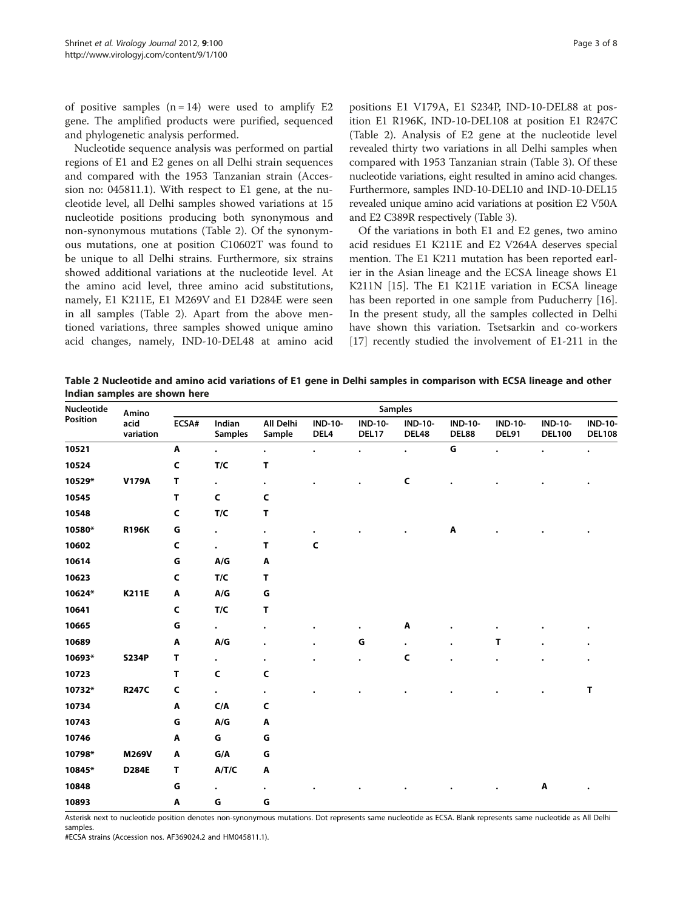of positive samples  $(n = 14)$  were used to amplify E2 gene. The amplified products were purified, sequenced and phylogenetic analysis performed.

Nucleotide sequence analysis was performed on partial regions of E1 and E2 genes on all Delhi strain sequences and compared with the 1953 Tanzanian strain (Accession no: 045811.1). With respect to E1 gene, at the nucleotide level, all Delhi samples showed variations at 15 nucleotide positions producing both synonymous and non-synonymous mutations (Table 2). Of the synonymous mutations, one at position C10602T was found to be unique to all Delhi strains. Furthermore, six strains showed additional variations at the nucleotide level. At the amino acid level, three amino acid substitutions, namely, E1 K211E, E1 M269V and E1 D284E were seen in all samples (Table 2). Apart from the above mentioned variations, three samples showed unique amino acid changes, namely, IND-10-DEL48 at amino acid positions E1 V179A, E1 S234P, IND-10-DEL88 at position E1 R196K, IND-10-DEL108 at position E1 R247C (Table 2). Analysis of E2 gene at the nucleotide level revealed thirty two variations in all Delhi samples when compared with 1953 Tanzanian strain (Table [3\)](#page-3-0). Of these nucleotide variations, eight resulted in amino acid changes. Furthermore, samples IND-10-DEL10 and IND-10-DEL15 revealed unique amino acid variations at position E2 V50A and E2 C389R respectively (Table [3\)](#page-3-0).

Of the variations in both E1 and E2 genes, two amino acid residues E1 K211E and E2 V264A deserves special mention. The E1 K211 mutation has been reported earlier in the Asian lineage and the ECSA lineage shows E1 K211N [\[15](#page-7-0)]. The E1 K211E variation in ECSA lineage has been reported in one sample from Puducherry [\[16](#page-7-0)]. In the present study, all the samples collected in Delhi have shown this variation. Tsetsarkin and co-workers [[17\]](#page-7-0) recently studied the involvement of E1-211 in the

Table 2 Nucleotide and amino acid variations of E1 gene in Delhi samples in comparison with ECSA lineage and other Indian samples are shown here

| Nucleotide<br>Position | Amino             | Samples |                          |                     |                        |                         |                         |                         |                         |                                 |                                 |  |  |  |  |
|------------------------|-------------------|---------|--------------------------|---------------------|------------------------|-------------------------|-------------------------|-------------------------|-------------------------|---------------------------------|---------------------------------|--|--|--|--|
|                        | acid<br>variation | ECSA#   | Indian<br><b>Samples</b> | All Delhi<br>Sample | <b>IND-10-</b><br>DEL4 | <b>IND-10-</b><br>DEL17 | <b>IND-10-</b><br>DEL48 | <b>IND-10-</b><br>DEL88 | <b>IND-10-</b><br>DEL91 | <b>IND-10-</b><br><b>DEL100</b> | <b>IND-10-</b><br><b>DEL108</b> |  |  |  |  |
| 10521                  |                   | Α       | $\bullet$                | $\bullet$           | $\bullet$              | $\bullet$               | $\bullet$               | G                       | $\bullet$               | $\bullet$                       | $\bullet$                       |  |  |  |  |
| 10524                  |                   | C       | $T/C$                    | т                   |                        |                         |                         |                         |                         |                                 |                                 |  |  |  |  |
| 10529*                 | <b>V179A</b>      | т       | $\bullet$                | $\bullet$           |                        |                         | C                       |                         |                         |                                 |                                 |  |  |  |  |
| 10545                  |                   | т       | C                        | C                   |                        |                         |                         |                         |                         |                                 |                                 |  |  |  |  |
| 10548                  |                   | C       | T/C                      | T                   |                        |                         |                         |                         |                         |                                 |                                 |  |  |  |  |
| 10580*                 | <b>R196K</b>      | G       | $\bullet$                | $\bullet$           |                        |                         |                         | Α                       |                         |                                 |                                 |  |  |  |  |
| 10602                  |                   | C       | $\bullet$                | т                   | C                      |                         |                         |                         |                         |                                 |                                 |  |  |  |  |
| 10614                  |                   | G       | A/G                      | A                   |                        |                         |                         |                         |                         |                                 |                                 |  |  |  |  |
| 10623                  |                   | C       | T/C                      | T                   |                        |                         |                         |                         |                         |                                 |                                 |  |  |  |  |
| 10624*                 | <b>K211E</b>      | Α       | A/G                      | G                   |                        |                         |                         |                         |                         |                                 |                                 |  |  |  |  |
| 10641                  |                   | C       | T/C                      | T                   |                        |                         |                         |                         |                         |                                 |                                 |  |  |  |  |
| 10665                  |                   | G       | $\bullet$                | $\bullet$           |                        |                         | Α                       |                         |                         |                                 |                                 |  |  |  |  |
| 10689                  |                   | Α       | A/G                      | ٠                   |                        | G                       | $\bullet$               | $\bullet$               | т                       |                                 |                                 |  |  |  |  |
| 10693*                 | <b>S234P</b>      | т       | $\bullet$                | ٠                   |                        |                         | С                       |                         |                         |                                 |                                 |  |  |  |  |
| 10723                  |                   | Т       | C                        | C                   |                        |                         |                         |                         |                         |                                 |                                 |  |  |  |  |
| 10732*                 | <b>R247C</b>      | C       | $\bullet$                | $\bullet$           |                        |                         |                         |                         |                         |                                 | т                               |  |  |  |  |
| 10734                  |                   | Α       | C/A                      | C                   |                        |                         |                         |                         |                         |                                 |                                 |  |  |  |  |
| 10743                  |                   | G       | A/G                      | Α                   |                        |                         |                         |                         |                         |                                 |                                 |  |  |  |  |
| 10746                  |                   | Α       | G                        | G                   |                        |                         |                         |                         |                         |                                 |                                 |  |  |  |  |
| 10798*                 | M269V             | Α       | G/A                      | G                   |                        |                         |                         |                         |                         |                                 |                                 |  |  |  |  |
| 10845*                 | D284E             | T       | A/T/C                    | Α                   |                        |                         |                         |                         |                         |                                 |                                 |  |  |  |  |
| 10848                  |                   | G       | $\bullet$                | $\bullet$           |                        |                         |                         |                         |                         | Α                               |                                 |  |  |  |  |
| 10893                  |                   | Α       | G                        | G                   |                        |                         |                         |                         |                         |                                 |                                 |  |  |  |  |

Asterisk next to nucleotide position denotes non-synonymous mutations. Dot represents same nucleotide as ECSA. Blank represents same nucleotide as All Delhi samples.

#ECSA strains (Accession nos. AF369024.2 and HM045811.1).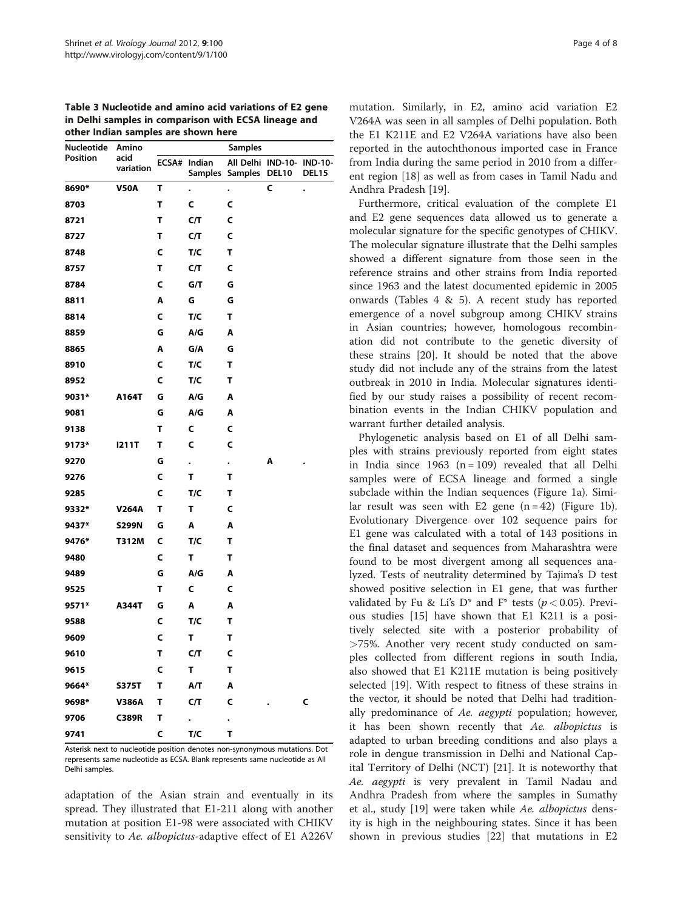<span id="page-3-0"></span>

| Table 3 Nucleotide and amino acid variations of E2 gene |
|---------------------------------------------------------|
| in Delhi samples in comparison with ECSA lineage and    |
| other Indian samples are shown here                     |

|            | ×,                |   |                                |                                             |              |       |  |  |  |  |
|------------|-------------------|---|--------------------------------|---------------------------------------------|--------------|-------|--|--|--|--|
| Nucleotide | Amino             |   |                                | <b>Samples</b>                              |              |       |  |  |  |  |
| Position   | acid<br>variation |   | ECSA# Indian<br><b>Samples</b> | All Delhi IND-10- IND-10-<br><b>Samples</b> | <b>DEL10</b> | DEL15 |  |  |  |  |
| 8690*      | <b>V50A</b>       | Τ | $\ddot{\phantom{0}}$           | $\bullet$                                   | C            |       |  |  |  |  |
| 8703       |                   | Т | C                              | C                                           |              |       |  |  |  |  |
| 8721       |                   | Т | C/T                            | C                                           |              |       |  |  |  |  |
| 8727       |                   | Τ | C/T                            | C                                           |              |       |  |  |  |  |
| 8748       |                   | C | T/C                            | т                                           |              |       |  |  |  |  |
| 8757       |                   | Т | C/T                            | C                                           |              |       |  |  |  |  |
| 8784       |                   | C | G/T                            | G                                           |              |       |  |  |  |  |
| 8811       |                   | A | G                              | G                                           |              |       |  |  |  |  |
| 8814       |                   | C | T/C                            | т                                           |              |       |  |  |  |  |
| 8859       |                   | G | A/G                            | Α                                           |              |       |  |  |  |  |
| 8865       |                   | A | G/A                            | G                                           |              |       |  |  |  |  |
| 8910       |                   | C | T/C                            | т                                           |              |       |  |  |  |  |
| 8952       |                   | C | T/C                            | т                                           |              |       |  |  |  |  |
| 9031*      | A164T             | G | A/G                            | A                                           |              |       |  |  |  |  |
| 9081       |                   | G | A/G                            | Α                                           |              |       |  |  |  |  |
| 9138       |                   | Τ | C                              | C                                           |              |       |  |  |  |  |
| 9173*      | 1211T             | Т | C                              | C                                           |              |       |  |  |  |  |
| 9270       |                   | G | $\ddot{\phantom{0}}$           | $\bullet$                                   | A            |       |  |  |  |  |
| 9276       |                   | C | Т                              | т                                           |              |       |  |  |  |  |
| 9285       |                   | C | T/C                            | т                                           |              |       |  |  |  |  |
| 9332*      | <b>V264A</b>      | Т | т                              | C                                           |              |       |  |  |  |  |
| 9437*      | <b>S299N</b>      | G | Α                              | Α                                           |              |       |  |  |  |  |
| 9476*      | T312M             | C | T/C                            | т                                           |              |       |  |  |  |  |
| 9480       |                   | C | Т                              | т                                           |              |       |  |  |  |  |
| 9489       |                   | G | A/G                            | Α                                           |              |       |  |  |  |  |
| 9525       |                   | Т | C                              | C                                           |              |       |  |  |  |  |
| 9571*      | A344T             | G | Α                              | Α                                           |              |       |  |  |  |  |
| 9588       |                   | C | T/C                            | т                                           |              |       |  |  |  |  |
| 9609       |                   | C | Т                              | т                                           |              |       |  |  |  |  |
| 9610       |                   | т | C/T                            | c                                           |              |       |  |  |  |  |
| 9615       |                   | C | Τ                              | т                                           |              |       |  |  |  |  |
| 9664*      | S375T             | T | A/T                            | A                                           |              |       |  |  |  |  |
| 9698*      | <b>V386A</b>      | Τ | C/T                            | C                                           |              | C     |  |  |  |  |
| 9706       | <b>C389R</b>      | Т |                                |                                             |              |       |  |  |  |  |
| 9741       |                   | C | T/C                            | T                                           |              |       |  |  |  |  |

Asterisk next to nucleotide position denotes non-synonymous mutations. Dot represents same nucleotide as ECSA. Blank represents same nucleotide as All Delhi samples.

adaptation of the Asian strain and eventually in its spread. They illustrated that E1-211 along with another mutation at position E1-98 were associated with CHIKV sensitivity to Ae. albopictus-adaptive effect of E1 A226V mutation. Similarly, in E2, amino acid variation E2 V264A was seen in all samples of Delhi population. Both the E1 K211E and E2 V264A variations have also been reported in the autochthonous imported case in France from India during the same period in 2010 from a different region [\[18](#page-7-0)] as well as from cases in Tamil Nadu and Andhra Pradesh [\[19\]](#page-7-0).

Furthermore, critical evaluation of the complete E1 and E2 gene sequences data allowed us to generate a molecular signature for the specific genotypes of CHIKV. The molecular signature illustrate that the Delhi samples showed a different signature from those seen in the reference strains and other strains from India reported since 1963 and the latest documented epidemic in 2005 onwards (Tables [4](#page-4-0) & [5](#page-4-0)). A recent study has reported emergence of a novel subgroup among CHIKV strains in Asian countries; however, homologous recombination did not contribute to the genetic diversity of these strains [[20](#page-7-0)]. It should be noted that the above study did not include any of the strains from the latest outbreak in 2010 in India. Molecular signatures identified by our study raises a possibility of recent recombination events in the Indian CHIKV population and warrant further detailed analysis.

Phylogenetic analysis based on E1 of all Delhi samples with strains previously reported from eight states in India since  $1963$  (n = 109) revealed that all Delhi samples were of ECSA lineage and formed a single subclade within the Indian sequences (Figure [1a\)](#page-5-0). Similar result was seen with E2 gene  $(n = 42)$  (Figure [1b](#page-5-0)). Evolutionary Divergence over 102 sequence pairs for E1 gene was calculated with a total of 143 positions in the final dataset and sequences from Maharashtra were found to be most divergent among all sequences analyzed. Tests of neutrality determined by Tajima's D test showed positive selection in E1 gene, that was further validated by Fu & Li's D\* and F\* tests ( $p < 0.05$ ). Previous studies [[15](#page-7-0)] have shown that E1 K211 is a positively selected site with a posterior probability of >75%. Another very recent study conducted on samples collected from different regions in south India, also showed that E1 K211E mutation is being positively selected [\[19\]](#page-7-0). With respect to fitness of these strains in the vector, it should be noted that Delhi had traditionally predominance of Ae. aegypti population; however, it has been shown recently that Ae. albopictus is adapted to urban breeding conditions and also plays a role in dengue transmission in Delhi and National Capital Territory of Delhi (NCT) [\[21](#page-7-0)]. It is noteworthy that Ae. aegypti is very prevalent in Tamil Nadau and Andhra Pradesh from where the samples in Sumathy et al., study [[19\]](#page-7-0) were taken while Ae. albopictus density is high in the neighbouring states. Since it has been shown in previous studies [[22](#page-7-0)] that mutations in E2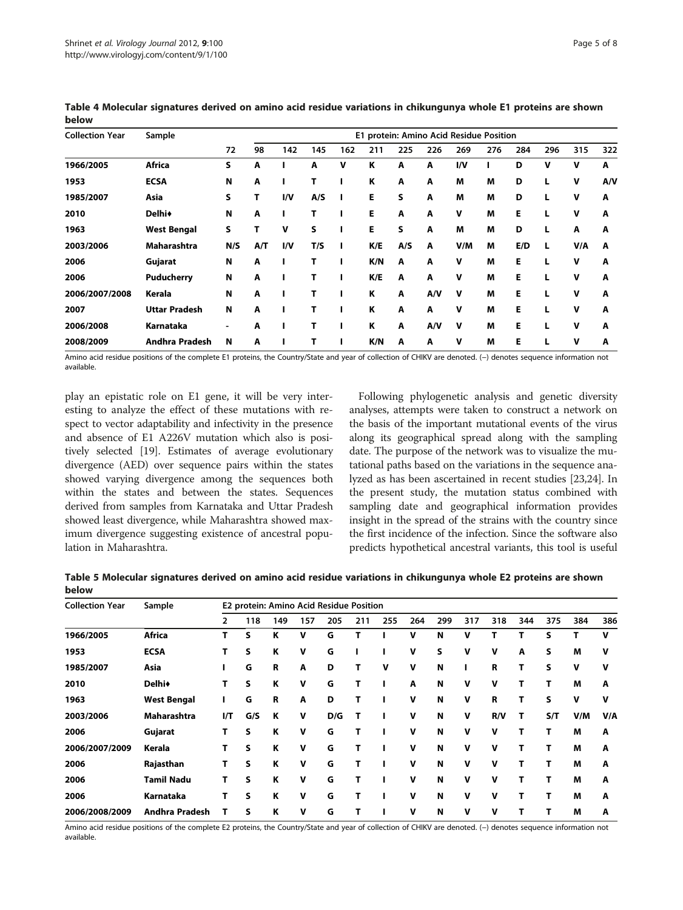| <b>Collection Year</b> | Sample                | E1 protein: Amino Acid Residue Position |     |     |     |     |     |     |     |     |     |     |     |     |     |
|------------------------|-----------------------|-----------------------------------------|-----|-----|-----|-----|-----|-----|-----|-----|-----|-----|-----|-----|-----|
|                        |                       | 72                                      | 98  | 142 | 145 | 162 | 211 | 225 | 226 | 269 | 276 | 284 | 296 | 315 | 322 |
| 1966/2005              | <b>Africa</b>         | S                                       | A   |     | А   | v   | κ   | A   | A   | I/V |     | D   | v   | v   | A   |
| 1953                   | <b>ECSA</b>           | Ν                                       | A   |     | Т   |     | К   | A   | A   | M   | M   | D   |     | v   | A/V |
| 1985/2007              | Asia                  | S                                       | т   | I/V | A/S |     | E   | S   | A   | M   | M   | D   |     | v   | A   |
| 2010                   | <b>Delhi</b>          | N                                       | A   |     | т   |     | E   | A   | A   | v   | M   | E   |     | v   | A   |
| 1963                   | <b>West Bengal</b>    | S                                       | т   | v   | s   |     | E   | S   | A   | M   | M   | D   |     | A   | A   |
| 2003/2006              | Maharashtra           | N/S                                     | A/T | I/V | T/S |     | K/E | A/S | A   | V/M | M   | E/D | L   | V/A | A   |
| 2006                   | Gujarat               | Ν                                       | A   |     | т   |     | K/N | A   | A   | v   | M   | Е   |     | v   | A   |
| 2006                   | <b>Puducherry</b>     | Ν                                       | A   |     | т   |     | K/E | A   | A   | v   | M   | E   |     | v   | A   |
| 2006/2007/2008         | Kerala                | N                                       | A   |     | т   |     | K   | A   | A/V | v   | M   | E   |     | v   | A   |
| 2007                   | <b>Uttar Pradesh</b>  | N                                       | A   |     | Т   |     | K   | A   | A   | v   | M   | Е   |     | v   | A   |
| 2006/2008              | Karnataka             | ۰                                       | A   |     | т   |     | K   | A   | A/V | v   | M   | Е   |     | v   | A   |
| 2008/2009              | <b>Andhra Pradesh</b> | N                                       | A   |     | т   |     | K/N | A   | A   | v   | M   | Е   |     | v   | A   |

<span id="page-4-0"></span>Table 4 Molecular signatures derived on amino acid residue variations in chikungunya whole E1 proteins are shown below

Amino acid residue positions of the complete E1 proteins, the Country/State and year of collection of CHIKV are denoted. (−) denotes sequence information not available.

play an epistatic role on E1 gene, it will be very interesting to analyze the effect of these mutations with respect to vector adaptability and infectivity in the presence and absence of E1 A226V mutation which also is positively selected [\[19\]](#page-7-0). Estimates of average evolutionary divergence (AED) over sequence pairs within the states showed varying divergence among the sequences both within the states and between the states. Sequences derived from samples from Karnataka and Uttar Pradesh showed least divergence, while Maharashtra showed maximum divergence suggesting existence of ancestral population in Maharashtra.

Following phylogenetic analysis and genetic diversity analyses, attempts were taken to construct a network on the basis of the important mutational events of the virus along its geographical spread along with the sampling date. The purpose of the network was to visualize the mutational paths based on the variations in the sequence analyzed as has been ascertained in recent studies [\[23,24\]](#page-7-0). In the present study, the mutation status combined with sampling date and geographical information provides insight in the spread of the strains with the country since the first incidence of the infection. Since the software also predicts hypothetical ancestral variants, this tool is useful

Table 5 Molecular signatures derived on amino acid residue variations in chikungunya whole E2 proteins are shown below

| <b>Collection Year</b> | Sample                | E2 protein: Amino Acid Residue Position |     |     |     |     |     |     |     |     |     |     |     |     |     |     |
|------------------------|-----------------------|-----------------------------------------|-----|-----|-----|-----|-----|-----|-----|-----|-----|-----|-----|-----|-----|-----|
|                        |                       | 2                                       | 118 | 149 | 157 | 205 | 211 | 255 | 264 | 299 | 317 | 318 | 344 | 375 | 384 | 386 |
| 1966/2005              | <b>Africa</b>         | Т                                       | S   | ĸ   | v   | G   |     |     | v   | N   | v   | т   | т   | S   |     | v   |
| 1953                   | <b>ECSA</b>           | т                                       | s   | К   | v   | G   |     |     | v   | S   | v   | v   | A   | S   | M   | v   |
| 1985/2007              | Asia                  |                                         | G   | R   | A   | D   | т   | v   | v   | N   |     | R   | Т   | S   | v   | v   |
| 2010                   | <b>Delhi</b>          | т                                       | S   | К   | v   | G   | т   |     | A   | N   | v   | v   | Т   |     | M   | Α   |
| 1963                   | <b>West Bengal</b>    |                                         | G   | R   | A   | D   | т   |     | v   | N   | v   | R   | т   | S   | v   | v   |
| 2003/2006              | <b>Maharashtra</b>    | I/T                                     | G/S | K   | v   | D/G |     |     | v   | N   | v   | R/V | т   | S/T | V/M | V/A |
| 2006                   | Gujarat               | Т                                       | S   | К   | v   | G   | т   |     | v   | N   | v   | v   | т   |     | M   | Α   |
| 2006/2007/2009         | Kerala                | т                                       | S   | К   | v   | G   | т   |     | v   | N   | v   | v   | т   |     | M   | A   |
| 2006                   | Rajasthan             | т                                       | s   | Κ   | v   | G   | т   |     | v   | N   | v   | v   | т   |     | M   | Α   |
| 2006                   | <b>Tamil Nadu</b>     | т                                       | s   | К   | v   | G   | т   |     | v   | N   | v   | v   | т   | т   | M   | Α   |
| 2006                   | Karnataka             | т                                       | S   | Κ   | v   | G   | т   |     | v   | N   | v   | v   | т   |     | M   | A   |
| 2006/2008/2009         | <b>Andhra Pradesh</b> |                                         | s   | К   | v   | G   |     |     | v   | N   | v   | v   | т   |     | M   | A   |

Amino acid residue positions of the complete E2 proteins, the Country/State and year of collection of CHIKV are denoted. (−) denotes sequence information not available.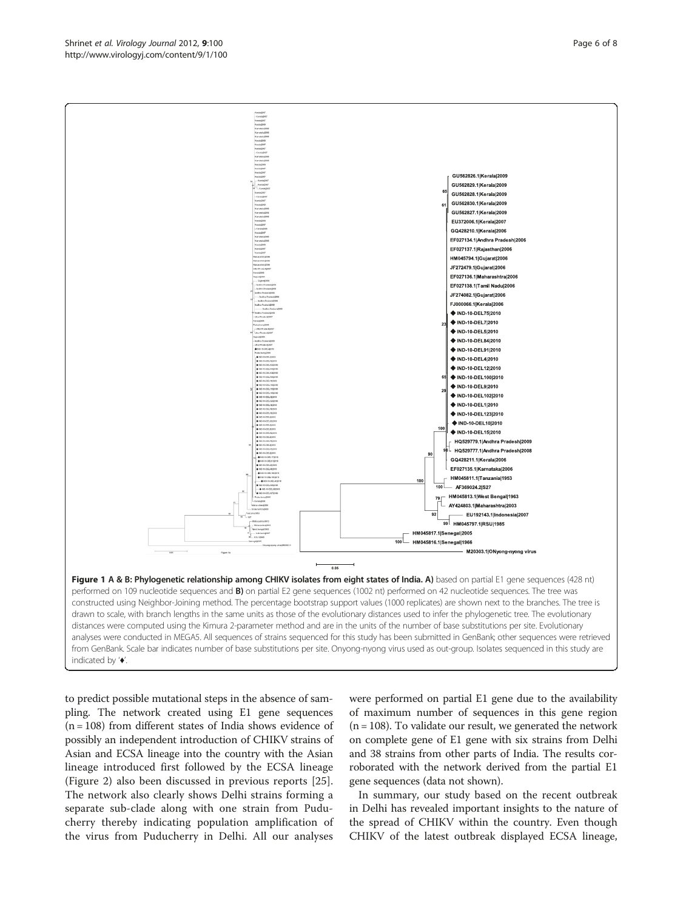to predict possible mutational steps in the absence of sampling. The network created using E1 gene sequences  $(n = 108)$  from different states of India shows evidence of possibly an independent introduction of CHIKV strains of Asian and ECSA lineage into the country with the Asian lineage introduced first followed by the ECSA lineage (Figure [2\)](#page-6-0) also been discussed in previous reports [\[25](#page-7-0)]. The network also clearly shows Delhi strains forming a separate sub-clade along with one strain from Puducherry thereby indicating population amplification of the virus from Puducherry in Delhi. All our analyses

were performed on partial E1 gene due to the availability of maximum number of sequences in this gene region  $(n = 108)$ . To validate our result, we generated the network on complete gene of E1 gene with six strains from Delhi and 38 strains from other parts of India. The results corroborated with the network derived from the partial E1 gene sequences (data not shown).

In summary, our study based on the recent outbreak in Delhi has revealed important insights to the nature of the spread of CHIKV within the country. Even though CHIKV of the latest outbreak displayed ECSA lineage,

<span id="page-5-0"></span>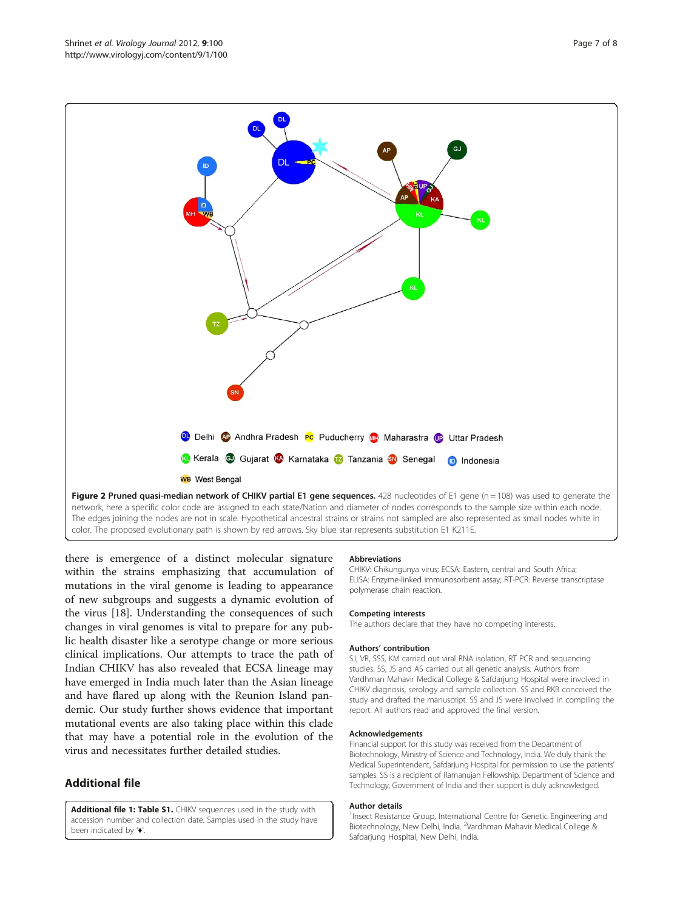<span id="page-6-0"></span>

there is emergence of a distinct molecular signature within the strains emphasizing that accumulation of mutations in the viral genome is leading to appearance of new subgroups and suggests a dynamic evolution of the virus [\[18](#page-7-0)]. Understanding the consequences of such changes in viral genomes is vital to prepare for any public health disaster like a serotype change or more serious clinical implications. Our attempts to trace the path of Indian CHIKV has also revealed that ECSA lineage may have emerged in India much later than the Asian lineage and have flared up along with the Reunion Island pandemic. Our study further shows evidence that important mutational events are also taking place within this clade that may have a potential role in the evolution of the virus and necessitates further detailed studies.

## Additional file

[Additional file 1: Table S1.](http://www.biomedcentral.com/content/supplementary/1743-422X-9-100-S1.doc) CHIKV sequences used in the study with accession number and collection date. Samples used in the study have been indicated by '♦'.

#### Abbreviations

CHIKV: Chikungunya virus; ECSA: Eastern, central and South Africa; ELISA: Enzyme-linked immunosorbent assay; RT-PCR: Reverse transcriptase polymerase chain reaction.

#### Competing interests

The authors declare that they have no competing interests.

#### Authors' contribution

SJ, VR, SSS, KM carried out viral RNA isolation, RT PCR and sequencing studies. SS, JS and AS carried out all genetic analysis. Authors from Vardhman Mahavir Medical College & Safdarjung Hospital were involved in CHIKV diagnosis, serology and sample collection. SS and RKB conceived the study and drafted the manuscript. SS and JS were involved in compiling the report. All authors read and approved the final version.

#### Acknowledgements

Financial support for this study was received from the Department of Biotechnology, Ministry of Science and Technology, India. We duly thank the Medical Superintendent, Safdarjung Hospital for permission to use the patients' samples. SS is a recipient of Ramanujan Fellowship, Department of Science and Technology, Government of India and their support is duly acknowledged.

#### Author details

<sup>1</sup>Insect Resistance Group, International Centre for Genetic Engineering and Biotechnology, New Delhi, India. <sup>2</sup>Vardhman Mahavir Medical College & Safdarjung Hospital, New Delhi, India.